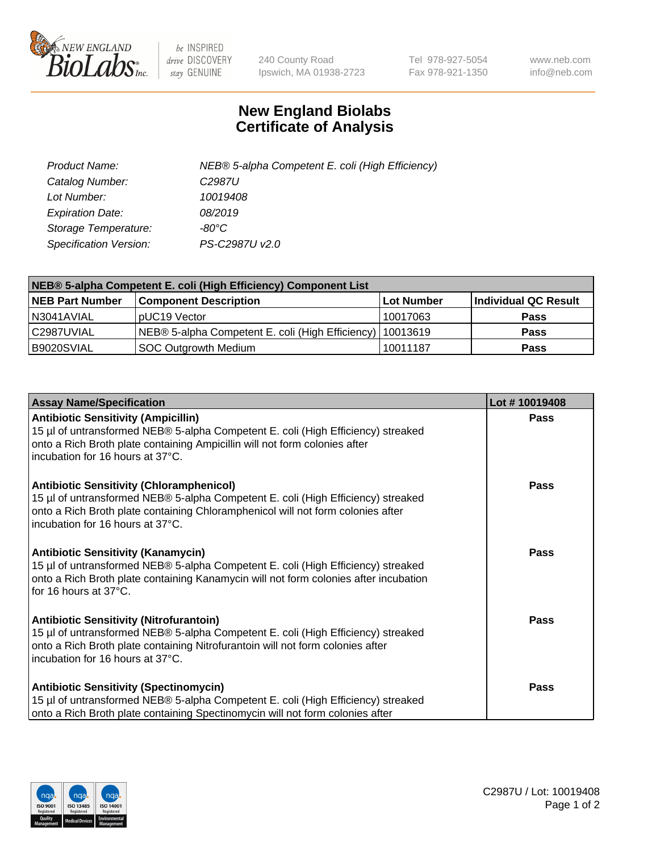

 $be$  INSPIRED drive DISCOVERY stay GENUINE

240 County Road Ipswich, MA 01938-2723 Tel 978-927-5054 Fax 978-921-1350 www.neb.com info@neb.com

## **New England Biolabs Certificate of Analysis**

| Product Name:                 | NEB® 5-alpha Competent E. coli (High Efficiency) |
|-------------------------------|--------------------------------------------------|
| Catalog Number:               | C <sub>2987</sub> U                              |
| Lot Number:                   | 10019408                                         |
| <b>Expiration Date:</b>       | 08/2019                                          |
| Storage Temperature:          | -80°C                                            |
| <b>Specification Version:</b> | PS-C2987U v2.0                                   |

| NEB® 5-alpha Competent E. coli (High Efficiency) Component List |                                                             |            |                      |  |
|-----------------------------------------------------------------|-------------------------------------------------------------|------------|----------------------|--|
| <b>NEB Part Number</b>                                          | <b>Component Description</b>                                | Lot Number | Individual QC Result |  |
| N3041AVIAL                                                      | pUC19 Vector                                                | 10017063   | <b>Pass</b>          |  |
| C2987UVIAL                                                      | NEB® 5-alpha Competent E. coli (High Efficiency)   10013619 |            | <b>Pass</b>          |  |
| B9020SVIAL                                                      | SOC Outgrowth Medium                                        | 10011187   | <b>Pass</b>          |  |

| <b>Assay Name/Specification</b>                                                                                                                                                                                                                            | Lot #10019408 |
|------------------------------------------------------------------------------------------------------------------------------------------------------------------------------------------------------------------------------------------------------------|---------------|
| <b>Antibiotic Sensitivity (Ampicillin)</b><br>15 µl of untransformed NEB® 5-alpha Competent E. coli (High Efficiency) streaked<br>onto a Rich Broth plate containing Ampicillin will not form colonies after<br>incubation for 16 hours at 37°C.           | Pass          |
| <b>Antibiotic Sensitivity (Chloramphenicol)</b><br>15 µl of untransformed NEB® 5-alpha Competent E. coli (High Efficiency) streaked<br>onto a Rich Broth plate containing Chloramphenicol will not form colonies after<br>incubation for 16 hours at 37°C. | Pass          |
| <b>Antibiotic Sensitivity (Kanamycin)</b><br>15 µl of untransformed NEB® 5-alpha Competent E. coli (High Efficiency) streaked<br>onto a Rich Broth plate containing Kanamycin will not form colonies after incubation<br>for 16 hours at 37°C.             | Pass          |
| <b>Antibiotic Sensitivity (Nitrofurantoin)</b><br>15 µl of untransformed NEB® 5-alpha Competent E. coli (High Efficiency) streaked<br>onto a Rich Broth plate containing Nitrofurantoin will not form colonies after<br>incubation for 16 hours at 37°C.   | <b>Pass</b>   |
| <b>Antibiotic Sensitivity (Spectinomycin)</b><br>15 µl of untransformed NEB® 5-alpha Competent E. coli (High Efficiency) streaked<br>onto a Rich Broth plate containing Spectinomycin will not form colonies after                                         | Pass          |